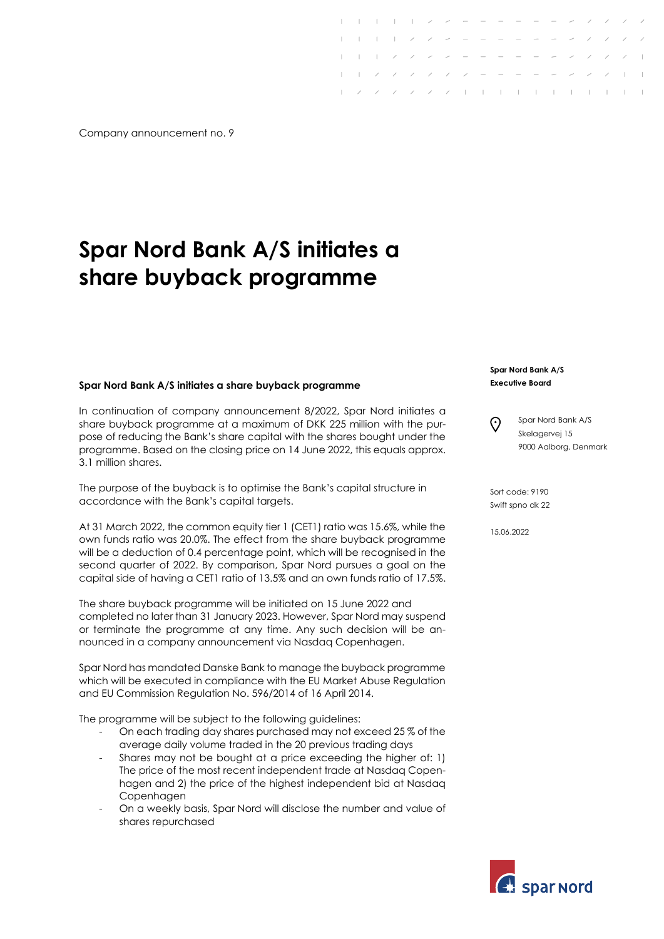Company announcement no. 9

## **Spar Nord Bank A/S initiates a share buyback programme**

## **Spar Nord Bank A/S initiates a share buyback programme**

In continuation of company announcement 8/2022, Spar Nord initiates a share buyback programme at a maximum of DKK 225 million with the purpose of reducing the Bank's share capital with the shares bought under the programme. Based on the closing price on 14 June 2022, this equals approx. 3.1 million shares.

The purpose of the buyback is to optimise the Bank's capital structure in accordance with the Bank's capital targets.

At 31 March 2022, the common equity tier 1 (CET1) ratio was 15.6%, while the own funds ratio was 20.0%. The effect from the share buyback programme will be a deduction of 0.4 percentage point, which will be recognised in the second quarter of 2022. By comparison, Spar Nord pursues a goal on the capital side of having a CET1 ratio of 13.5% and an own funds ratio of 17.5%.

The share buyback programme will be initiated on 15 June 2022 and completed no later than 31 January 2023. However, Spar Nord may suspend or terminate the programme at any time. Any such decision will be announced in a company announcement via Nasdaq Copenhagen.

Spar Nord has mandated Danske Bank to manage the buyback programme which will be executed in compliance with the EU Market Abuse Regulation and EU Commission Regulation No. 596/2014 of 16 April 2014.

The programme will be subject to the following guidelines:

- On each trading day shares purchased may not exceed 25 % of the average daily volume traded in the 20 previous trading days
- Shares may not be bought at a price exceeding the higher of: 1) The price of the most recent independent trade at Nasdaq Copenhagen and 2) the price of the highest independent bid at Nasdaq Copenhagen
- On a weekly basis, Spar Nord will disclose the number and value of shares repurchased

## **Spar Nord Bank A/S Executive Board**

 $1 - 1 - 1 - 1 - 2 - 2 - 3 - 3 - 3 - 3$ 

 $\sqrt{2}$  / / / / | | | | | | | | | |

Spar Nord Bank A/S  $\odot$ Skelagervej 15 9000 Aalborg, Denmark

Sort code: 9190 Swift spno dk 22

15.06.2022